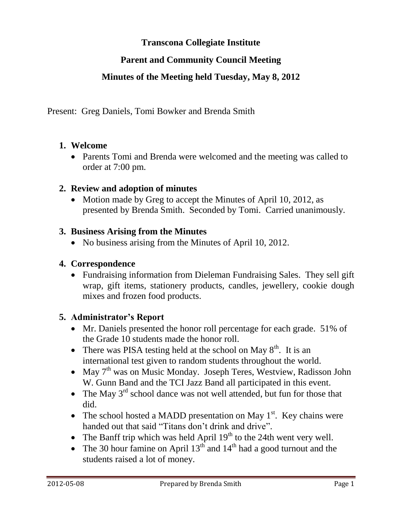# **Transcona Collegiate Institute**

# **Parent and Community Council Meeting**

## **Minutes of the Meeting held Tuesday, May 8, 2012**

Present: Greg Daniels, Tomi Bowker and Brenda Smith

#### **1. Welcome**

• Parents Tomi and Brenda were welcomed and the meeting was called to order at 7:00 pm.

## **2. Review and adoption of minutes**

• Motion made by Greg to accept the Minutes of April 10, 2012, as presented by Brenda Smith. Seconded by Tomi. Carried unanimously.

#### **3. Business Arising from the Minutes**

• No business arising from the Minutes of April 10, 2012.

#### **4. Correspondence**

• Fundraising information from Dieleman Fundraising Sales. They sell gift wrap, gift items, stationery products, candles, jewellery, cookie dough mixes and frozen food products.

## **5. Administrator's Report**

- Mr. Daniels presented the honor roll percentage for each grade. 51% of the Grade 10 students made the honor roll.
- There was PISA testing held at the school on May  $8<sup>th</sup>$ . It is an international test given to random students throughout the world.
- May 7<sup>th</sup> was on Music Monday. Joseph Teres, Westview, Radisson John W. Gunn Band and the TCI Jazz Band all participated in this event.
- The May  $3<sup>rd</sup>$  school dance was not well attended, but fun for those that did.
- The school hosted a MADD presentation on May  $1<sup>st</sup>$ . Key chains were handed out that said "Titans don't drink and drive".
- The Banff trip which was held April  $19<sup>th</sup>$  to the 24th went very well.
- The 30 hour famine on April  $13^{th}$  and  $14^{th}$  had a good turnout and the students raised a lot of money.